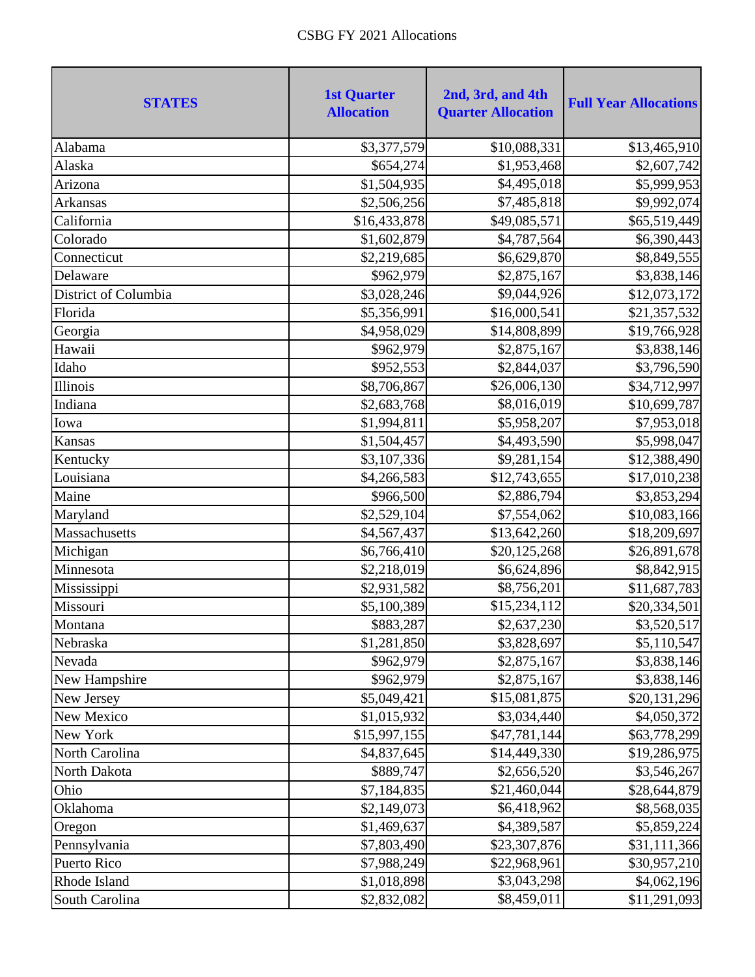| <b>STATES</b>        | <b>1st Quarter</b><br><b>Allocation</b> | 2nd, 3rd, and 4th<br><b>Quarter Allocation</b> | <b>Full Year Allocations</b> |
|----------------------|-----------------------------------------|------------------------------------------------|------------------------------|
| Alabama              | \$3,377,579                             | \$10,088,331                                   | \$13,465,910                 |
| Alaska               | \$654,274                               | \$1,953,468                                    | \$2,607,742                  |
| Arizona              | \$1,504,935                             | \$4,495,018                                    | \$5,999,953                  |
| Arkansas             | \$2,506,256                             | \$7,485,818                                    | \$9,992,074                  |
| California           | \$16,433,878                            | \$49,085,571                                   | \$65,519,449                 |
| Colorado             | \$1,602,879                             | \$4,787,564                                    | \$6,390,443                  |
| Connecticut          | \$2,219,685                             | \$6,629,870                                    | \$8,849,555                  |
| Delaware             | \$962,979                               | \$2,875,167                                    | \$3,838,146                  |
| District of Columbia | \$3,028,246                             | \$9,044,926                                    | \$12,073,172                 |
| Florida              | \$5,356,991                             | \$16,000,541                                   | \$21,357,532                 |
| Georgia              | \$4,958,029                             | \$14,808,899                                   | \$19,766,928                 |
| Hawaii               | \$962,979                               | \$2,875,167                                    | \$3,838,146                  |
| Idaho                | \$952,553                               | \$2,844,037                                    | \$3,796,590                  |
| Illinois             | \$8,706,867                             | \$26,006,130                                   | \$34,712,997                 |
| Indiana              | \$2,683,768                             | \$8,016,019                                    | \$10,699,787                 |
| Iowa                 | \$1,994,811                             | \$5,958,207                                    | \$7,953,018                  |
| Kansas               | \$1,504,457                             | \$4,493,590                                    | \$5,998,047                  |
| Kentucky             | \$3,107,336                             | \$9,281,154                                    | \$12,388,490                 |
| Louisiana            | \$4,266,583                             | \$12,743,655                                   | \$17,010,238                 |
| Maine                | \$966,500                               | \$2,886,794                                    | \$3,853,294                  |
| Maryland             | \$2,529,104                             | \$7,554,062                                    | \$10,083,166                 |
| Massachusetts        | \$4,567,437                             | \$13,642,260                                   | \$18,209,697                 |
| Michigan             | \$6,766,410                             | \$20,125,268                                   | \$26,891,678                 |
| Minnesota            | \$2,218,019                             | \$6,624,896                                    | \$8,842,915                  |
| Mississippi          | \$2,931,582                             | \$8,756,201                                    | \$11,687,783                 |
| Missouri             | \$5,100,389                             | \$15,234,112                                   | \$20,334,501                 |
| Montana              | \$883,287                               | \$2,637,230                                    | \$3,520,517                  |
| Nebraska             | \$1,281,850                             | \$3,828,697                                    | \$5,110,547                  |
| Nevada               | \$962,979                               | \$2,875,167                                    | \$3,838,146                  |
| New Hampshire        | \$962,979                               | \$2,875,167                                    | \$3,838,146                  |
| New Jersey           | \$5,049,421                             | \$15,081,875                                   | \$20,131,296                 |
| New Mexico           | \$1,015,932                             | \$3,034,440                                    | \$4,050,372                  |
| New York             | \$15,997,155                            | \$47,781,144                                   | \$63,778,299                 |
| North Carolina       | \$4,837,645                             | \$14,449,330                                   | \$19,286,975                 |
| North Dakota         | \$889,747                               | \$2,656,520                                    | \$3,546,267                  |
| Ohio                 | \$7,184,835                             | \$21,460,044                                   | \$28,644,879                 |
| Oklahoma             | \$2,149,073                             | \$6,418,962                                    | \$8,568,035                  |
| Oregon               | \$1,469,637                             | \$4,389,587                                    | \$5,859,224                  |
| Pennsylvania         | \$7,803,490                             | \$23,307,876                                   | \$31,111,366                 |
| Puerto Rico          | \$7,988,249                             | \$22,968,961                                   | \$30,957,210                 |
| Rhode Island         | \$1,018,898                             | \$3,043,298                                    | \$4,062,196                  |
| South Carolina       | \$2,832,082                             | \$8,459,011                                    | \$11,291,093                 |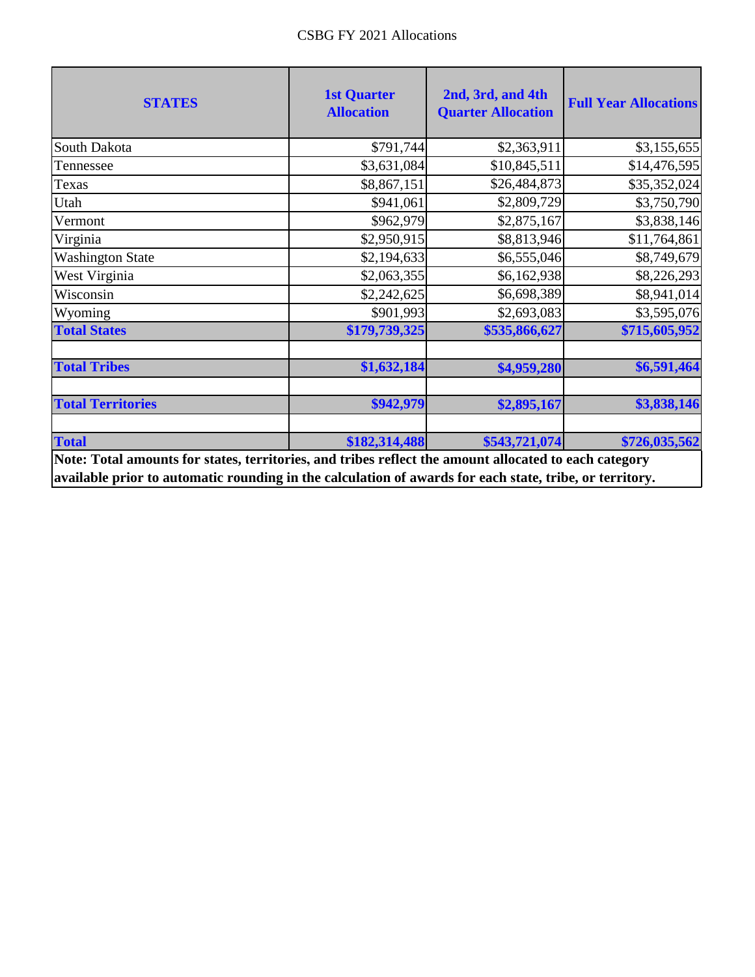| <b>STATES</b>                                                                                                                                                                                                    | <b>1st Quarter</b><br><b>Allocation</b> | 2nd, 3rd, and 4th<br><b>Quarter Allocation</b> | <b>Full Year Allocations</b> |
|------------------------------------------------------------------------------------------------------------------------------------------------------------------------------------------------------------------|-----------------------------------------|------------------------------------------------|------------------------------|
| South Dakota                                                                                                                                                                                                     | \$791,744                               | \$2,363,911                                    | \$3,155,655                  |
| Tennessee                                                                                                                                                                                                        | \$3,631,084                             | \$10,845,511                                   | \$14,476,595                 |
| Texas                                                                                                                                                                                                            | \$8,867,151                             | \$26,484,873                                   | \$35,352,024                 |
| Utah                                                                                                                                                                                                             | \$941,061                               | \$2,809,729                                    | \$3,750,790                  |
| Vermont                                                                                                                                                                                                          | \$962,979                               | \$2,875,167                                    | \$3,838,146                  |
| Virginia                                                                                                                                                                                                         | \$2,950,915                             | \$8,813,946                                    | \$11,764,861                 |
| <b>Washington State</b>                                                                                                                                                                                          | \$2,194,633                             | \$6,555,046                                    | \$8,749,679                  |
| West Virginia                                                                                                                                                                                                    | \$2,063,355                             | \$6,162,938                                    | \$8,226,293                  |
| Wisconsin                                                                                                                                                                                                        | \$2,242,625                             | \$6,698,389                                    | \$8,941,014                  |
| Wyoming                                                                                                                                                                                                          | \$901,993                               | \$2,693,083                                    | \$3,595,076                  |
| <b>Total States</b>                                                                                                                                                                                              | \$179,739,325                           | \$535,866,627                                  | \$715,605,952                |
| <b>Total Tribes</b>                                                                                                                                                                                              | \$1,632,184                             | \$4,959,280                                    | \$6,591,464                  |
| <b>Total Territories</b>                                                                                                                                                                                         | \$942,979                               | \$2,895,167                                    | \$3,838,146                  |
| <b>Total</b>                                                                                                                                                                                                     | \$182,314,488                           | \$543,721,074                                  | \$726,035,562                |
| Note: Total amounts for states, territories, and tribes reflect the amount allocated to each category<br>available prior to automatic rounding in the calculation of awards for each state, tribe, or territory. |                                         |                                                |                              |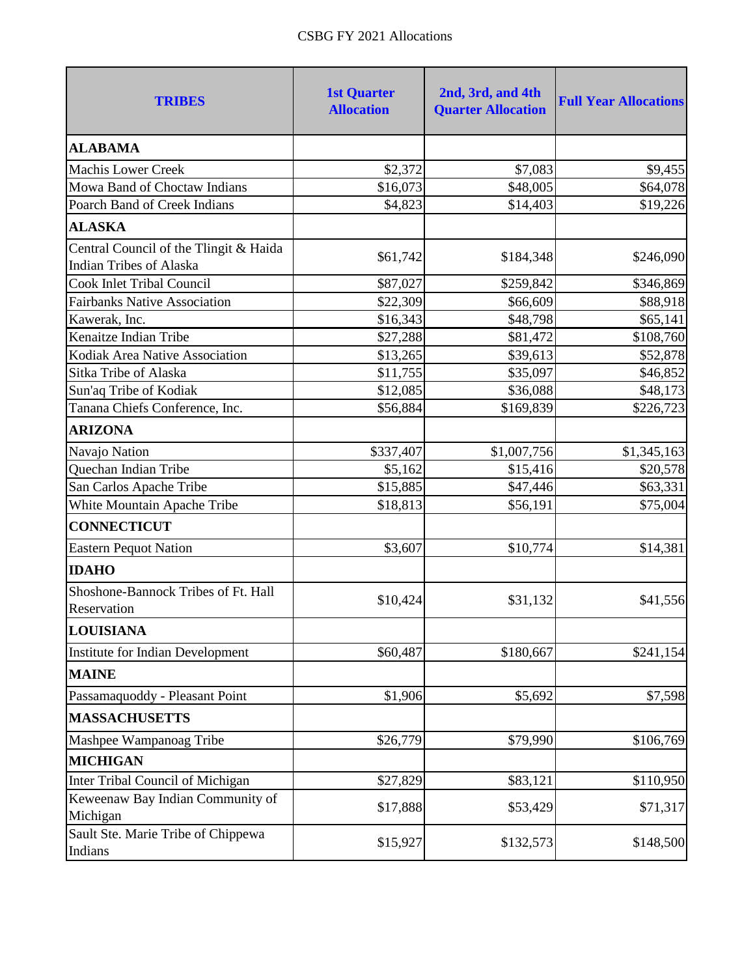| <b>TRIBES</b>                          | <b>1st Quarter</b><br><b>Allocation</b> | 2nd, 3rd, and 4th<br><b>Quarter Allocation</b> | <b>Full Year Allocations</b> |
|----------------------------------------|-----------------------------------------|------------------------------------------------|------------------------------|
| <b>ALABAMA</b>                         |                                         |                                                |                              |
| <b>Machis Lower Creek</b>              | \$2,372                                 | \$7,083                                        | \$9,455                      |
| Mowa Band of Choctaw Indians           | \$16,073                                | \$48,005                                       | \$64,078                     |
| Poarch Band of Creek Indians           | \$4,823                                 | \$14,403                                       | \$19,226                     |
| <b>ALASKA</b>                          |                                         |                                                |                              |
| Central Council of the Tlingit & Haida |                                         |                                                |                              |
| <b>Indian Tribes of Alaska</b>         | \$61,742                                | \$184,348                                      | \$246,090                    |
| <b>Cook Inlet Tribal Council</b>       | \$87,027                                | \$259,842                                      | \$346,869                    |
| <b>Fairbanks Native Association</b>    | \$22,309                                | \$66,609                                       | \$88,918                     |
| Kawerak, Inc.                          | \$16,343                                | \$48,798                                       | \$65,141                     |
| Kenaitze Indian Tribe                  | \$27,288                                | \$81,472                                       | \$108,760                    |
| Kodiak Area Native Association         | \$13,265                                | \$39,613                                       | \$52,878                     |
| Sitka Tribe of Alaska                  | \$11,755                                | \$35,097                                       | \$46,852                     |
| Sun'aq Tribe of Kodiak                 | \$12,085                                | \$36,088                                       | \$48,173                     |
| Tanana Chiefs Conference, Inc.         | \$56,884                                | \$169,839                                      | \$226,723                    |
| <b>ARIZONA</b>                         |                                         |                                                |                              |
| Navajo Nation                          | \$337,407                               | \$1,007,756                                    | \$1,345,163                  |
| Quechan Indian Tribe                   | \$5,162                                 | \$15,416                                       | \$20,578                     |
| San Carlos Apache Tribe                | \$15,885                                | \$47,446                                       | \$63,331                     |
| White Mountain Apache Tribe            | \$18,813                                | \$56,191                                       | \$75,004                     |
| <b>CONNECTICUT</b>                     |                                         |                                                |                              |
| <b>Eastern Pequot Nation</b>           | \$3,607                                 | \$10,774                                       | \$14,381                     |
| <b>IDAHO</b>                           |                                         |                                                |                              |
| Shoshone-Bannock Tribes of Ft. Hall    | \$10,424                                | \$31,132                                       | \$41,556                     |
| Reservation                            |                                         |                                                |                              |
| <b>LOUISIANA</b>                       |                                         |                                                |                              |
| Institute for Indian Development       | \$60,487                                | \$180,667                                      | \$241,154                    |
| <b>MAINE</b>                           |                                         |                                                |                              |
| Passamaquoddy - Pleasant Point         | \$1,906                                 | \$5,692                                        | \$7,598                      |
| <b>MASSACHUSETTS</b>                   |                                         |                                                |                              |
| Mashpee Wampanoag Tribe                | \$26,779                                | \$79,990                                       | \$106,769                    |
| <b>MICHIGAN</b>                        |                                         |                                                |                              |
| Inter Tribal Council of Michigan       | \$27,829                                | \$83,121                                       | \$110,950                    |
| Keweenaw Bay Indian Community of       |                                         |                                                |                              |
| Michigan                               | \$17,888                                | \$53,429                                       | \$71,317                     |
| Sault Ste. Marie Tribe of Chippewa     | \$15,927                                | \$132,573                                      | \$148,500                    |
| Indians                                |                                         |                                                |                              |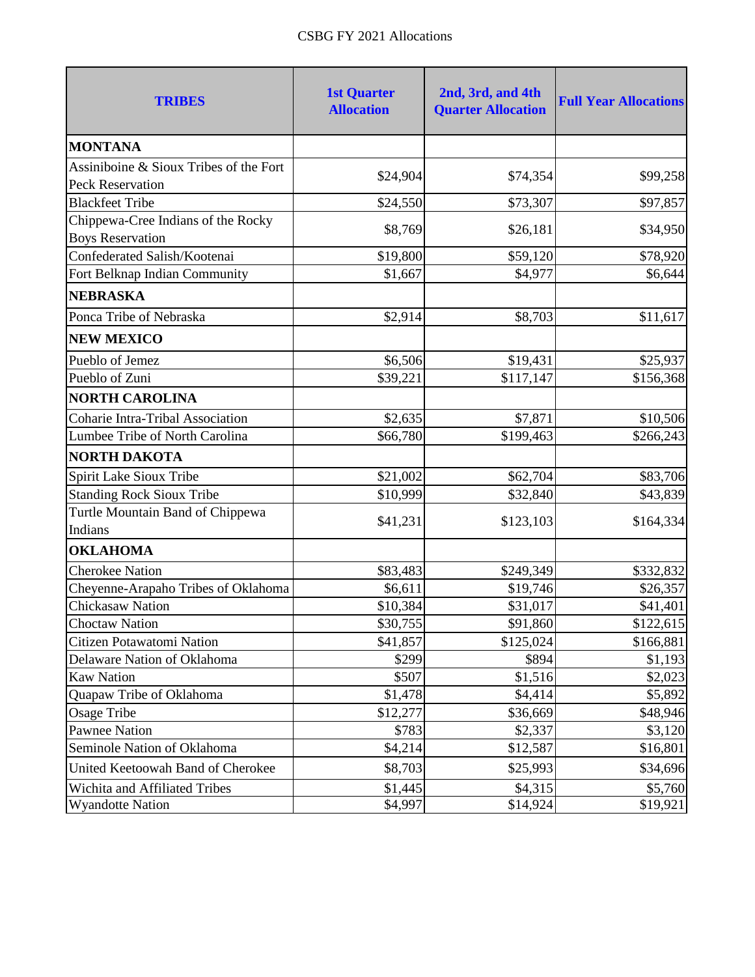| <b>TRIBES</b>                                                     | <b>1st Quarter</b><br><b>Allocation</b> | 2nd, 3rd, and 4th<br><b>Quarter Allocation</b> | <b>Full Year Allocations</b> |
|-------------------------------------------------------------------|-----------------------------------------|------------------------------------------------|------------------------------|
| <b>MONTANA</b>                                                    |                                         |                                                |                              |
| Assiniboine & Sioux Tribes of the Fort<br><b>Peck Reservation</b> | \$24,904                                | \$74,354                                       | \$99,258                     |
| <b>Blackfeet Tribe</b>                                            | \$24,550                                | \$73,307                                       | \$97,857                     |
| Chippewa-Cree Indians of the Rocky<br><b>Boys Reservation</b>     | \$8,769                                 | \$26,181                                       | \$34,950                     |
| Confederated Salish/Kootenai                                      | \$19,800                                | \$59,120                                       | \$78,920                     |
| Fort Belknap Indian Community                                     | \$1,667                                 | \$4,977                                        | \$6,644                      |
| <b>NEBRASKA</b>                                                   |                                         |                                                |                              |
| Ponca Tribe of Nebraska                                           | \$2,914                                 | \$8,703                                        | \$11,617                     |
| <b>NEW MEXICO</b>                                                 |                                         |                                                |                              |
| Pueblo of Jemez                                                   | \$6,506                                 | \$19,431                                       | \$25,937                     |
| Pueblo of Zuni                                                    | \$39,221                                | \$117,147                                      | \$156,368                    |
| <b>NORTH CAROLINA</b>                                             |                                         |                                                |                              |
| <b>Coharie Intra-Tribal Association</b>                           | \$2,635                                 | \$7,871                                        | \$10,506                     |
| Lumbee Tribe of North Carolina                                    | \$66,780                                | \$199,463                                      | \$266,243                    |
| <b>NORTH DAKOTA</b>                                               |                                         |                                                |                              |
| Spirit Lake Sioux Tribe                                           | \$21,002                                | \$62,704                                       | \$83,706                     |
| <b>Standing Rock Sioux Tribe</b>                                  | \$10,999                                | \$32,840                                       | \$43,839                     |
| Turtle Mountain Band of Chippewa<br>Indians                       | \$41,231                                | \$123,103                                      | \$164,334                    |
| <b>OKLAHOMA</b>                                                   |                                         |                                                |                              |
| <b>Cherokee Nation</b>                                            | \$83,483                                | \$249,349                                      | \$332,832                    |
| Cheyenne-Arapaho Tribes of Oklahoma                               | \$6,611                                 | \$19,746                                       | \$26,357                     |
| Chickasaw Nation                                                  | \$10,384                                | \$31,017                                       | \$41,401                     |
| <b>Choctaw Nation</b>                                             | \$30,755                                | \$91,860                                       | \$122,615                    |
| Citizen Potawatomi Nation                                         | \$41,857                                | \$125,024                                      | \$166,881                    |
| Delaware Nation of Oklahoma                                       | \$299                                   | \$894                                          | \$1,193                      |
| <b>Kaw Nation</b>                                                 | \$507                                   | \$1,516                                        | \$2,023                      |
| Quapaw Tribe of Oklahoma                                          | \$1,478                                 | \$4,414                                        | \$5,892                      |
| <b>Osage Tribe</b>                                                | \$12,277                                | \$36,669                                       | \$48,946                     |
| <b>Pawnee Nation</b>                                              | \$783                                   | \$2,337                                        | \$3,120                      |
| Seminole Nation of Oklahoma                                       | \$4,214                                 | \$12,587                                       | \$16,801                     |
| United Keetoowah Band of Cherokee                                 | \$8,703                                 | \$25,993                                       | \$34,696                     |
| Wichita and Affiliated Tribes                                     | \$1,445                                 | \$4,315                                        | \$5,760                      |
| <b>Wyandotte Nation</b>                                           | \$4,997                                 | \$14,924                                       | \$19,921                     |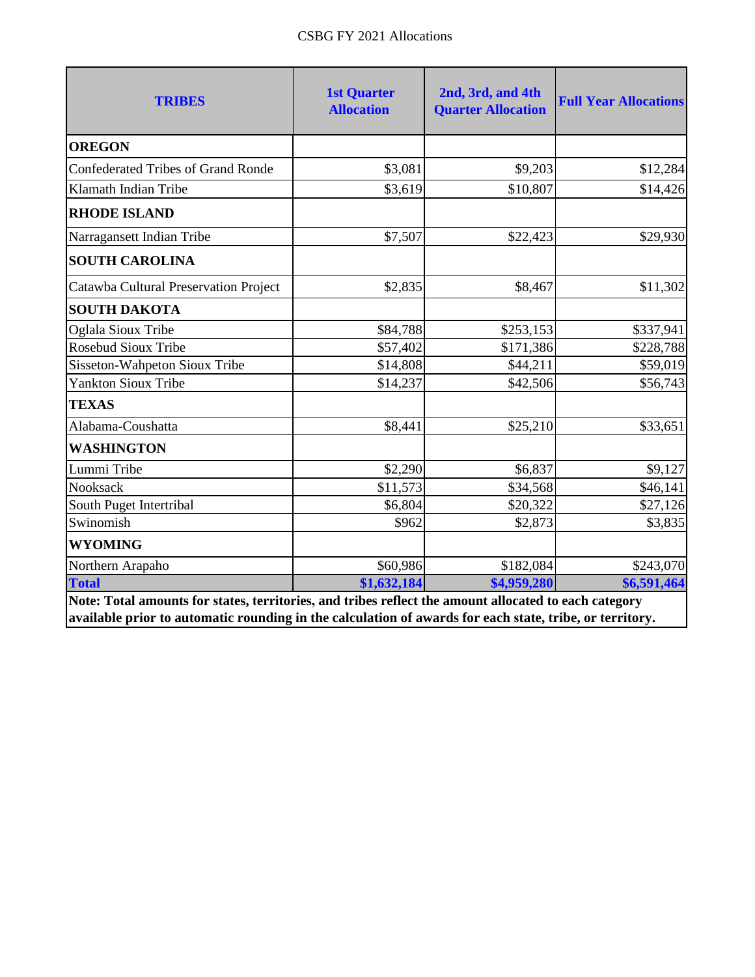| <b>OREGON</b><br><b>Confederated Tribes of Grand Ronde</b><br>Klamath Indian Tribe | \$3,081<br>\$3,619 | \$9,203     |             |
|------------------------------------------------------------------------------------|--------------------|-------------|-------------|
|                                                                                    |                    |             |             |
|                                                                                    |                    |             | \$12,284    |
|                                                                                    |                    | \$10,807    | \$14,426    |
| <b>RHODE ISLAND</b>                                                                |                    |             |             |
| Narragansett Indian Tribe                                                          | \$7,507            | \$22,423    | \$29,930    |
| <b>SOUTH CAROLINA</b>                                                              |                    |             |             |
| Catawba Cultural Preservation Project                                              | \$2,835            | \$8,467     | \$11,302    |
| <b>SOUTH DAKOTA</b>                                                                |                    |             |             |
| Oglala Sioux Tribe                                                                 | \$84,788           | \$253,153   | \$337,941   |
| <b>Rosebud Sioux Tribe</b>                                                         | \$57,402           | \$171,386   | \$228,788   |
| Sisseton-Wahpeton Sioux Tribe                                                      | \$14,808           | \$44,211    | \$59,019    |
| <b>Yankton Sioux Tribe</b>                                                         | \$14,237           | \$42,506    | \$56,743    |
| <b>TEXAS</b>                                                                       |                    |             |             |
| Alabama-Coushatta                                                                  | \$8,441            | \$25,210    | \$33,651    |
| <b>WASHINGTON</b>                                                                  |                    |             |             |
| Lummi Tribe                                                                        | \$2,290            | \$6,837     | \$9,127     |
| Nooksack                                                                           | \$11,573           | \$34,568    | \$46,141    |
| South Puget Intertribal                                                            | \$6,804            | \$20,322    | \$27,126    |
| Swinomish                                                                          | \$962              | \$2,873     | \$3,835     |
| <b>WYOMING</b>                                                                     |                    |             |             |
| Northern Arapaho                                                                   | \$60,986           | \$182,084   | \$243,070   |
| <b>Total</b>                                                                       | \$1,632,184        | \$4,959,280 | \$6,591,464 |